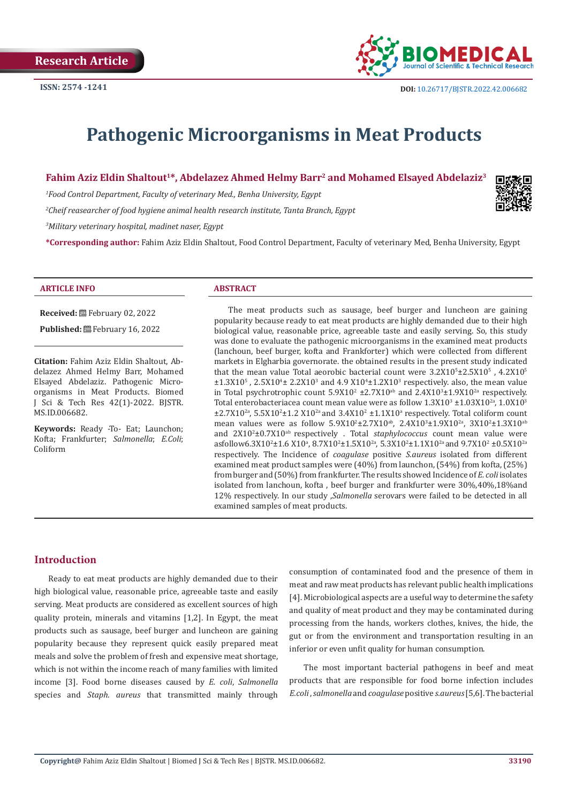

# **Pathogenic Microorganisms in Meat Products**

# **Fahim Aziz Eldin Shaltout1\*, Abdelazez Ahmed Helmy Barr2 and Mohamed Elsayed Abdelaziz3**

*1 Food Control Department, Faculty of veterinary Med., Benha University, Egypt*

*2 Cheif reasearcher of food hygiene animal health research institute, Tanta Branch, Egypt*

*3 Military veterinary hospital, madinet naser, Egypt*

**\*Corresponding author:** Fahim Aziz Eldin Shaltout, Food Control Department, Faculty of veterinary Med, Benha University, Egypt

#### **ARTICLE INFO ABSTRACT**

MS.ID.006682.

**Citation:** Fahim Aziz Eldin Shaltout, Abdelazez Ahmed Helmy Barr, Mohamed Elsayed Abdelaziz. Pathogenic Microorganisms in Meat Products. Biomed J Sci & Tech Res 42(1)-2022. BJSTR.

**Received:** February 02, 2022 Published: **■**February 16, 2022

**Keywords:** Ready -To- Eat; Launchon; Kofta; Frankfurter; *Salmonella*; *E.Coli*; Coliform

The meat products such as sausage, beef burger and luncheon are gaining popularity because ready to eat meat products are highly demanded due to their high biological value, reasonable price, agreeable taste and easily serving. So, this study was done to evaluate the pathogenic microorganisms in the examined meat products (lanchoun, beef burger, kofta and Frankforter) which were collected from different markets in Elgharbia governorate. the obtained results in the present study indicated that the mean value Total aeorobic bacterial count were  $3.2X10^5 \pm 2.5X10^5$  ,  $4.2X10^5$  $\pm 1.3X10^5$  , 2.5X10<sup>4</sup>  $\pm 2.2X10^3$  and 4.9 X10<sup>4</sup> $\pm 1.2X10^3$  respectively. also, the mean value in Total psychrotrophic count  $5.9X10^2 \pm 2.7X10^{ab}$  and  $2.4X10^3 \pm 1.9X10^{2a}$  respectively. Total enterobacteriacea count mean value were as follow  $1.3X10^3 \pm 1.03X10^{2a}$ ,  $1.0X10^3$  $\pm$ 2.7X10<sup>2a</sup>, 5.5X10<sup>2</sup> $\pm$ 1.2 X10<sup>2a</sup> and 3.4X10<sup>2</sup>  $\pm$ 1.1X10<sup>a</sup> respectively. Total coliform count mean values were as follow  $5.9X10^{2} \pm 2.7X10^{ab}$ ,  $2.4X10^{3} \pm 1.9X10^{2a}$ ,  $3X10^{2} \pm 1.3X10^{ab}$ and 2X102 ±0.7X10ab respectively . Total *staphylococcus* count mean value were  $\frac{1}{100}$  asfollow6.3X10<sup>2</sup>±1.6 X10<sup>a</sup>, 8.7X10<sup>2</sup>±1.5X10<sup>2a</sup>, 5.3X10<sup>2</sup>±1.1X10<sup>2a</sup> and 9.7X10<sup>2</sup> ±0.5X10<sup>2a</sup> respectively. The Incidence of *coagulase* positive *S.aureus* isolated from different examined meat product samples were (40%) from launchon, (54%) from kofta, (25%) from burger and (50%) from frankfurter. The results showed Incidence of *E. coli* isolates isolated from lanchoun, kofta , beef burger and frankfurter were 30%,40%,18%and 12% respectively. In our study ,*Salmonella* serovars were failed to be detected in all examined samples of meat products.

# **Introduction**

Ready to eat meat products are highly demanded due to their high biological value, reasonable price, agreeable taste and easily serving. Meat products are considered as excellent sources of high quality protein, minerals and vitamins [1,2]. In Egypt, the meat products such as sausage, beef burger and luncheon are gaining popularity because they represent quick easily prepared meat meals and solve the problem of fresh and expensive meat shortage, which is not within the income reach of many families with limited income [3]. Food borne diseases caused by *E. coli*, *Salmonella* species and *Staph. aureus* that transmitted mainly through

consumption of contaminated food and the presence of them in meat and raw meat products has relevant public health implications [4]. Microbiological aspects are a useful way to determine the safety and quality of meat product and they may be contaminated during processing from the hands, workers clothes, knives, the hide, the gut or from the environment and transportation resulting in an inferior or even unfit quality for human consumption.

The most important bacterial pathogens in beef and meat products that are responsible for food borne infection includes *E.coli* , *salmonella* and *coagulase* positive *s.aureus* [5,6]. The bacterial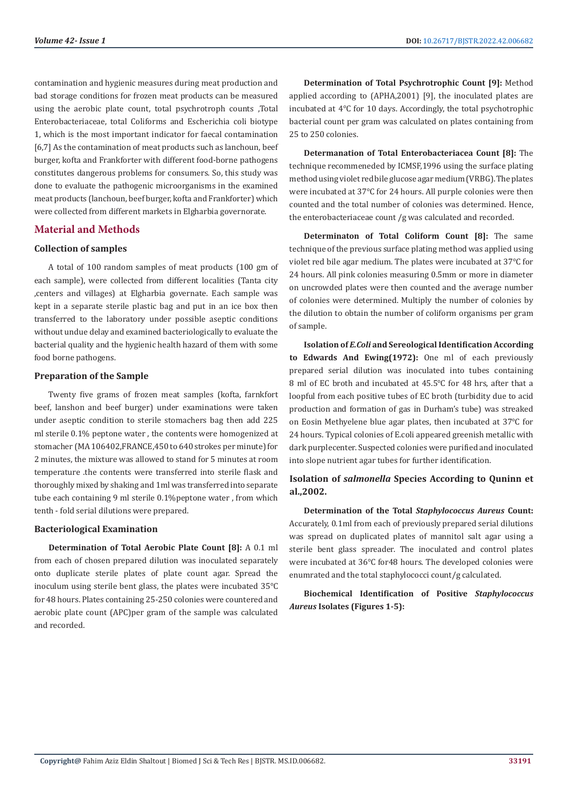contamination and hygienic measures during meat production and bad storage conditions for frozen meat products can be measured using the aerobic plate count, total psychrotroph counts ,Total Enterobacteriaceae, total Coliforms and Escherichia coli biotype 1, which is the most important indicator for faecal contamination [6,7] As the contamination of meat products such as lanchoun, beef burger, kofta and Frankforter with different food-borne pathogens constitutes dangerous problems for consumers. So, this study was done to evaluate the pathogenic microorganisms in the examined meat products (lanchoun, beef burger, kofta and Frankforter) which were collected from different markets in Elgharbia governorate.

# **Material and Methods**

#### **Collection of samples**

A total of 100 random samples of meat products (100 gm of each sample), were collected from different localities (Tanta city ,centers and villages) at Elgharbia governate. Each sample was kept in a separate sterile plastic bag and put in an ice box then transferred to the laboratory under possible aseptic conditions without undue delay and examined bacteriologically to evaluate the bacterial quality and the hygienic health hazard of them with some food borne pathogens.

#### **Preparation of the Sample**

Twenty five grams of frozen meat samples (kofta, farnkfort beef, lanshon and beef burger) under examinations were taken under aseptic condition to sterile stomachers bag then add 225 ml sterile 0.1% peptone water , the contents were homogenized at stomacher (MA 106402,FRANCE,450 to 640 strokes per minute) for 2 minutes, the mixture was allowed to stand for 5 minutes at room temperature .the contents were transferred into sterile flask and thoroughly mixed by shaking and 1ml was transferred into separate tube each containing 9 ml sterile 0.1%peptone water , from which tenth - fold serial dilutions were prepared.

#### **Bacteriological Examination**

**Determination of Total Aerobic Plate Count [8]:** A 0.1 ml from each of chosen prepared dilution was inoculated separately onto duplicate sterile plates of plate count agar. Spread the inoculum using sterile bent glass, the plates were incubated 35℃ for 48 hours. Plates containing 25-250 colonies were countered and aerobic plate count (APC)per gram of the sample was calculated and recorded.

**Determination of Total Psychrotrophic Count [9]:** Method applied according to (APHA,2001) [9], the inoculated plates are incubated at 4℃ for 10 days. Accordingly, the total psychotrophic bacterial count per gram was calculated on plates containing from 25 to 250 colonies.

**Determanation of Total Enterobacteriacea Count [8]:** The technique recommeneded by ICMSF,1996 using the surface plating method using violet red bile glucose agar medium (VRBG). The plates were incubated at 37℃ for 24 hours. All purple colonies were then counted and the total number of colonies was determined. Hence, the enterobacteriaceae count /g was calculated and recorded.

**Determinaton of Total Coliform Count [8]:** The same technique of the previous surface plating method was applied using violet red bile agar medium. The plates were incubated at 37℃ for 24 hours. All pink colonies measuring 0.5mm or more in diameter on uncrowded plates were then counted and the average number of colonies were determined. Multiply the number of colonies by the dilution to obtain the number of coliform organisms per gram of sample.

**Isolation of** *E.Coli* **and Sereological Identification According to Edwards And Ewing(1972):** One ml of each previously prepared serial dilution was inoculated into tubes containing 8 ml of EC broth and incubated at 45.5℃ for 48 hrs, after that a loopful from each positive tubes of EC broth (turbidity due to acid production and formation of gas in Durham's tube) was streaked on Eosin Methyelene blue agar plates, then incubated at 37℃ for 24 hours. Typical colonies of E.coli appeared greenish metallic with dark purplecenter. Suspected colonies were purified and inoculated into slope nutrient agar tubes for further identification.

# **Isolation of** *salmonella* **Species According to Quninn et al.,2002.**

**Determination of the Total** *Staphylococcus Aureus* **Count:**  Accurately, 0.1ml from each of previously prepared serial dilutions was spread on duplicated plates of mannitol salt agar using a sterile bent glass spreader. The inoculated and control plates were incubated at 36℃ for48 hours. The developed colonies were enumrated and the total staphylococci count/g calculated.

**Biochemical Identification of Positive** *Staphylococcus Aureus* **Isolates (Figures 1-5):**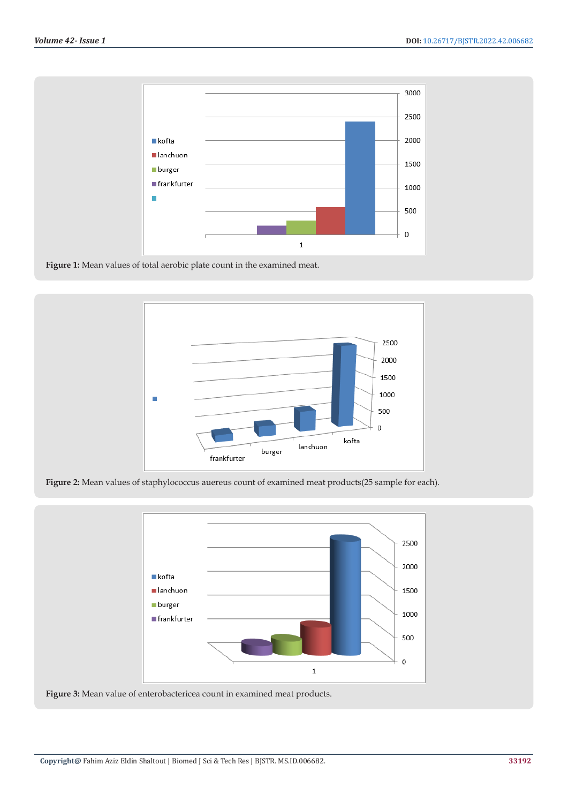

**Figure 1:** Mean values of total aerobic plate count in the examined meat.



**Figure 2:** Mean values of staphylococcus auereus count of examined meat products(25 sample for each).



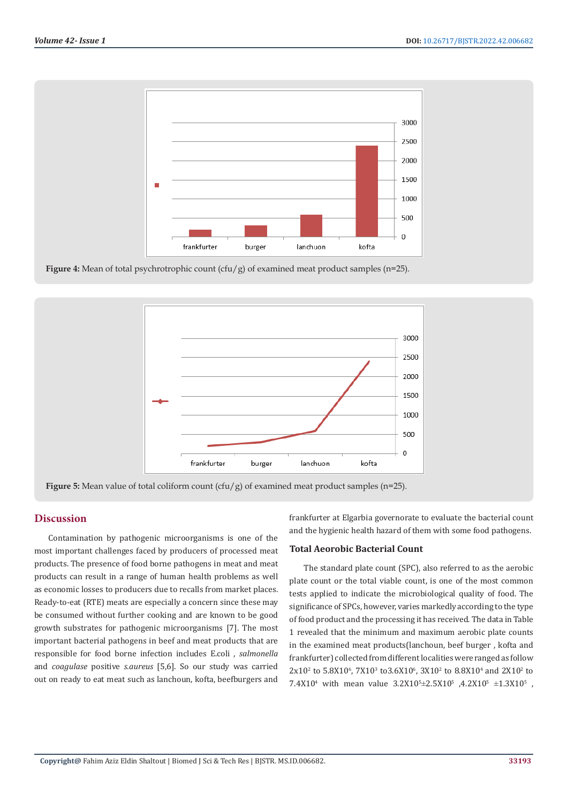

**Figure 4:** Mean of total psychrotrophic count (cfu/g) of examined meat product samples (n=25).



**Figure 5:** Mean value of total coliform count (cfu/g) of examined meat product samples (n=25).

# **Discussion**

Contamination by pathogenic microorganisms is one of the most important challenges faced by producers of processed meat products. The presence of food borne pathogens in meat and meat products can result in a range of human health problems as well as economic losses to producers due to recalls from market places. Ready-to-eat (RTE) meats are especially a concern since these may be consumed without further cooking and are known to be good growth substrates for pathogenic microorganisms [7]. The most important bacterial pathogens in beef and meat products that are responsible for food borne infection includes E.coli , *salmonella* and *coagulase* positive *s.aureus* [5,6]. So our study was carried out on ready to eat meat such as lanchoun, kofta, beefburgers and frankfurter at Elgarbia governorate to evaluate the bacterial count and the hygienic health hazard of them with some food pathogens.

#### **Total Aeorobic Bacterial Count**

The standard plate count (SPC), also referred to as the aerobic plate count or the total viable count, is one of the most common tests applied to indicate the microbiological quality of food. The significance of SPCs, however, varies markedly according to the type of food product and the processing it has received. The data in Table 1 revealed that the minimum and maximum aerobic plate counts in the examined meat products(lanchoun, beef burger , kofta and frankfurter) collected from different localities were ranged as follow  $2x10^2$  to 5.8X10<sup>6</sup>, 7X10<sup>3</sup> to 3.6X10<sup>6</sup>, 3X10<sup>2</sup> to 8.8X10<sup>4</sup> and 2X10<sup>2</sup> to 7.4X10<sup>4</sup> with mean value  $3.2X10^5 \pm 2.5X10^5$  ,  $4.2X10^5 \pm 1.3X10^5$  ,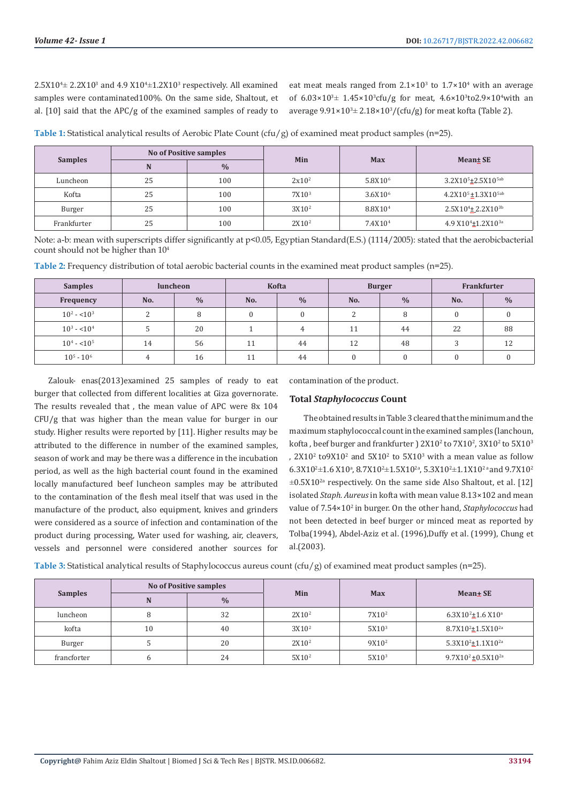$2.5X10^{4}$   $\pm$  2.2X10<sup>3</sup> and 4.9 X10<sup>4</sup> $\pm$ 1.2X10<sup>3</sup> respectively. All examined samples were contaminated100%. On the same side, Shaltout, et al. [10] said that the APC/g of the examined samples of ready to

eat meat meals ranged from  $2.1 \times 10^3$  to  $1.7 \times 10^4$  with an average of  $6.03 \times 10^{3} \pm 1.45 \times 10^{3}$  cfu/g for meat,  $4.6 \times 10^{3}$  to  $2.9 \times 10^{4}$  with an average  $9.91 \times 10^{3} \pm 2.18 \times 10^{3} / (c \text{fu/g})$  for meat kofta (Table 2).

**Table 1:** Statistical analytical results of Aerobic Plate Count (cfu/g) of examined meat product samples (n=25).

| <b>Samples</b> |    | <b>No of Positive samples</b> | <b>Min</b>        |                     | Mean± SE                                   |  |
|----------------|----|-------------------------------|-------------------|---------------------|--------------------------------------------|--|
|                | N  | $\frac{0}{0}$                 |                   | <b>Max</b>          |                                            |  |
| Luncheon       | 25 | 100                           | $2x10^2$          | 5.8X10 <sup>6</sup> | 3.2X10 <sup>5</sup> ±2.5X10 <sup>5ab</sup> |  |
| Kofta          | 25 | 100                           | 7X10 <sup>3</sup> | 3.6X10 <sup>6</sup> | 4.2X10 <sup>5</sup> ±1.3X10 <sup>5ab</sup> |  |
| Burger         | 25 | 100                           | $3X10^2$          | 8.8X10 <sup>4</sup> | $2.5X10^{4}$ ± 2.2X10 <sup>3b</sup>        |  |
| Frankfurter    | 25 | 100                           | 2X10 <sup>2</sup> | 7.4X10 <sup>4</sup> | 4.9 X10 <sup>4</sup> ±1.2X10 <sup>3a</sup> |  |

Note: a-b: mean with superscripts differ significantly at p<0.05, Egyptian Standard(E.S.) (1114/2005): stated that the aerobicbacterial count should not be higher than 104

**Table 2:** Frequency distribution of total aerobic bacterial counts in the examined meat product samples (n=25).

| <b>Samples</b> | <b>luncheon</b> |               |     | <b>Kofta</b>  |     | <b>Burger</b> | Frankfurter |               |  |
|----------------|-----------------|---------------|-----|---------------|-----|---------------|-------------|---------------|--|
| Frequency      | No.             | $\frac{0}{0}$ | No. | $\frac{0}{0}$ | No. | $\frac{0}{0}$ | No.         | $\frac{0}{0}$ |  |
| $10^2 - 10^3$  | C               |               | 0   | 0             | ົ   | 8             |             |               |  |
| $10^3 - 10^4$  |                 | 20            |     |               | 11  | 44            | 22          | 88            |  |
| $10^4 - 10^5$  | 14              | 56            | 11  | 44            | 12  | 48            |             | 12            |  |
| $10^5 - 10^6$  |                 | 16            | 11  | 44            |     | $\Omega$      |             |               |  |

Zalouk- enas(2013)examined 25 samples of ready to eat burger that collected from different localities at Giza governorate. The results revealed that , the mean value of APC were 8x 104 CFU/g that was higher than the mean value for burger in our study. Higher results were reported by [11]. Higher results may be attributed to the difference in number of the examined samples, season of work and may be there was a difference in the incubation period, as well as the high bacterial count found in the examined locally manufactured beef luncheon samples may be attributed to the contamination of the flesh meal itself that was used in the manufacture of the product, also equipment, knives and grinders were considered as a source of infection and contamination of the product during processing, Water used for washing, air, cleavers, vessels and personnel were considered another sources for

contamination of the product.

#### **Total** *Staphylococcus* **Count**

The obtained results in Table 3 cleared that the minimum and the maximum staphylococcal count in the examined samples (lanchoun, kofta , beef burger and frankfurter )  $2X10^2$  to  $7X10^2$ ,  $3X10^2$  to  $5X10^3$ ,  $2X10<sup>2</sup>$  to  $9X10<sup>2</sup>$  and  $5X10<sup>2</sup>$  to  $5X10<sup>3</sup>$  with a mean value as follow  $6.3X10^2 \pm 1.6 X10^{\circ}, 8.7X10^2 \pm 1.5 X10^2$ ,  $5.3X10^2 \pm 1.1 X10^2$  and  $9.7X10^2$  $\pm 0.5X10^{2a}$  respectively. On the same side Also Shaltout, et al. [12] isolated *Staph. Aureus* in kofta with mean value 8.13×102 and mean value of 7.54×102 in burger. On the other hand, *Staphylococcus* had not been detected in beef burger or minced meat as reported by Tolba(1994), Abdel-Aziz et al. (1996),Duffy et al. (1999), Chung et al.(2003).

**Table 3:** Statistical analytical results of Staphylococcus aureus count (cfu/g) of examined meat product samples (n=25).

| <b>Samples</b> |             |    | <b>No of Positive samples</b> |                   |                   | Mean + SE                          |  |
|----------------|-------------|----|-------------------------------|-------------------|-------------------|------------------------------------|--|
|                |             |    | $\frac{0}{0}$                 | Min               | <b>Max</b>        |                                    |  |
|                | luncheon    |    | 32                            | 2X10 <sup>2</sup> | 7X10 <sup>2</sup> | $6.3X10^{2}$ ±1.6 X10 <sup>a</sup> |  |
|                | kofta       | 10 | 40                            | 3X10 <sup>2</sup> | 5X10 <sup>3</sup> | $8.7X10^{2} \pm 1.5X10^{2}$        |  |
|                | Burger      |    | 20                            | 2X10 <sup>2</sup> | $9X10^2$          | $5.3X10^2 \pm 1.1X10^{2a}$         |  |
|                | francforter |    | 24                            | $5X10^2$          | 5X10 <sup>3</sup> | $9.7X10^2 \pm 0.5X10^{2a}$         |  |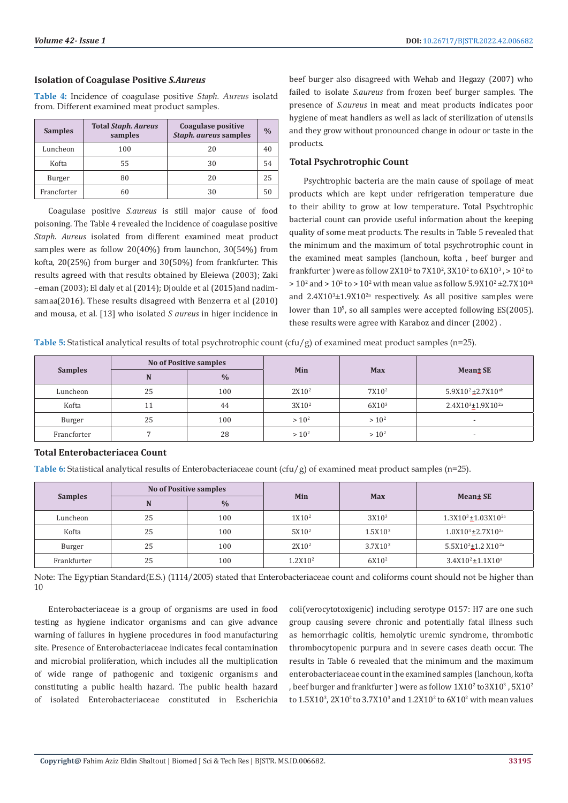# **Isolation of Coagulase Positive** *S.Aureus*

**Table 4:** Incidence of coagulase positive *Staph. Aureus* isolatd from. Different examined meat product samples.

| <b>Samples</b> | <b>Total Staph. Aureus</b><br>samples | Coagulase positive<br>Staph. aureus samples | $\frac{0}{0}$ |
|----------------|---------------------------------------|---------------------------------------------|---------------|
| Luncheon       | 100                                   | 20                                          | 40            |
| Kofta          | 55                                    | 30                                          | 54            |
| Burger         | 80                                    | 20                                          | 25            |
| Francforter    | 60                                    | 30                                          | 50            |

Coagulase positive *S.aureus* is still major cause of food poisoning. The Table 4 revealed the Incidence of coagulase positive *Staph. Aureus* isolated from different examined meat product samples were as follow 20(40%) from launchon, 30(54%) from kofta, 20(25%) from burger and 30(50%) from frankfurter. This results agreed with that results obtained by Eleiewa (2003); Zaki –eman (2003); El daly et al (2014); Djoulde et al (2015)and nadimsamaa(2016). These results disagreed with Benzerra et al (2010) and mousa, et al. [13] who isolated *S aureus* in higer incidence in beef burger also disagreed with Wehab and Hegazy (2007) who failed to isolate *S.aureus* from frozen beef burger samples. The presence of *S.aureus* in meat and meat products indicates poor hygiene of meat handlers as well as lack of sterilization of utensils and they grow without pronounced change in odour or taste in the products.

# **Total Psychrotrophic Count**

Psychtrophic bacteria are the main cause of spoilage of meat products which are kept under refrigeration temperature due to their ability to grow at low temperature. Total Psychtrophic bacterial count can provide useful information about the keeping quality of some meat products. The results in Table 5 revealed that the minimum and the maximum of total psychrotrophic count in the examined meat samples (lanchoun, kofta , beef burger and frankfurter ) were as follow  $2X10^2$  to  $7X10^2$ ,  $3X10^2$  to  $6X10^3$  ,  $> 10^2$  to  $> 10^2$  and  $> 10^2$  to  $> 10^2$  with mean value as follow  $5.9X10^2 \pm 2.7X10^{ab}$ and  $2.4X10^{3} \pm 1.9X10^{2}$  respectively. As all positive samples were lower than  $10^{\circ}$ , so all samples were accepted following ES(2005). these results were agree with Karaboz and dincer (2002) .

**Table 5:** Statistical analytical results of total psychrotrophic count (cfu/g) of examined meat product samples (n=25).

| <b>Samples</b> |    | <b>No of Positive samples</b> |                   |                   | <b>Mean</b> SE                            |  |
|----------------|----|-------------------------------|-------------------|-------------------|-------------------------------------------|--|
|                | N  | $\frac{0}{0}$                 | Min               | <b>Max</b>        |                                           |  |
| Luncheon       | 25 | 100                           | 2X10 <sup>2</sup> | 7X10 <sup>2</sup> | $5.9X10^2 \pm 2.7X10^{ab}$                |  |
| Kofta          |    | 44                            | $3X10^2$          | 6X10 <sup>3</sup> | 2.4X10 <sup>3</sup> ±1.9X10 <sup>2a</sup> |  |
| Burger         | 25 | 100                           | $> 10^2$          | $> 10^2$          |                                           |  |
| Francforter    |    | 28                            | $> 10^2$          | $> 10^2$          |                                           |  |

# **Total Enterobacteriacea Count**

**Table 6:** Statistical analytical results of Enterobacteriaceae count (cfu/g) of examined meat product samples (n=25).

|                |    | <b>No of Positive samples</b> |                   |                     | <b>Mean± SE</b>                            |  |
|----------------|----|-------------------------------|-------------------|---------------------|--------------------------------------------|--|
| <b>Samples</b> | N  | $\frac{0}{0}$                 | Min               | <b>Max</b>          |                                            |  |
| Luncheon       | 25 | 100                           | 1X10 <sup>2</sup> | 3X10 <sup>3</sup>   | $1.3X10^{3} \pm 1.03X10^{2a}$              |  |
| Kofta          | 25 | 100                           | 5X10 <sup>2</sup> | 1.5X10 <sup>3</sup> | $1.0X10^3 \pm 2.7X10^{2a}$                 |  |
| Burger         | 25 | 100                           | $2X10^2$          | 3.7X10 <sup>3</sup> | 5.5X10 <sup>2</sup> ±1.2 X10 <sup>2a</sup> |  |
| Frankfurter    | 25 | 100                           | $1.2X10^2$        | $6X10^2$            | $3.4X10^2 \pm 1.1X10^a$                    |  |

Note: The Egyptian Standard(E.S.) (1114/2005) stated that Enterobacteriaceae count and coliforms count should not be higher than 10

Enterobacteriaceae is a group of organisms are used in food testing as hygiene indicator organisms and can give advance warning of failures in hygiene procedures in food manufacturing site. Presence of Enterobacteriaceae indicates fecal contamination and microbial proliferation, which includes all the multiplication of wide range of pathogenic and toxigenic organisms and constituting a public health hazard. The public health hazard of isolated Enterobacteriaceae constituted in Escherichia

coli(verocytotoxigenic) including serotype O157: H7 are one such group causing severe chronic and potentially fatal illness such as hemorrhagic colitis, hemolytic uremic syndrome, thrombotic thrombocytopenic purpura and in severe cases death occur. The results in Table 6 revealed that the minimum and the maximum enterobacteriaceae count in the examined samples (lanchoun, kofta , beef burger and frankfurter ) were as follow  $1X10^2$  to $3X10^3$  ,  $5X10^2$ to  $1.5X10^3$ ,  $2X10^2$  to  $3.7X10^3$  and  $1.2X10^2$  to  $6X10^2$  with mean values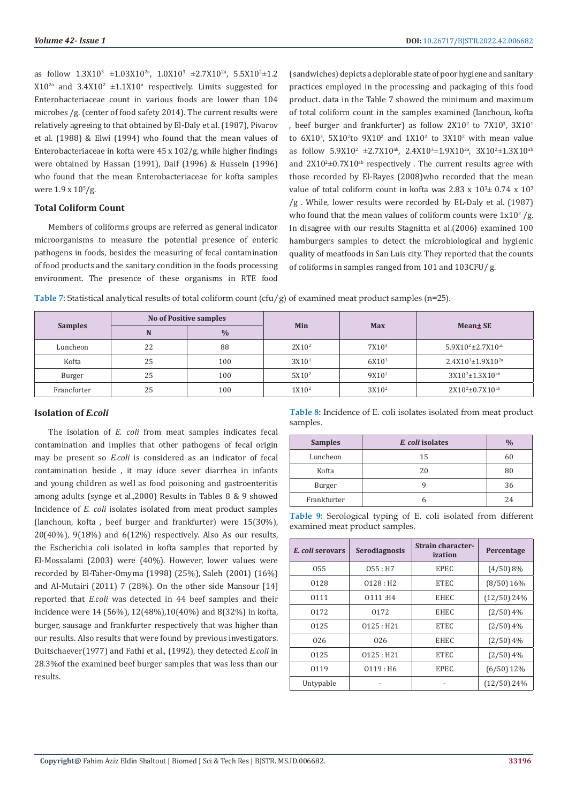as follow  $1.3X10^3 \pm 1.03X10^{2a}$ ,  $1.0X10^3 \pm 2.7X10^{2a}$ ,  $5.5X10^2 \pm 1.2$  $X10^{2a}$  and  $3.4X10^{2} \pm 1.1X10^{a}$  respectively. Limits suggested for Enterobacteriaceae count in various foods are lower than 104 microbes /g. (center of food safety 2014). The current results were relatively agreeing to that obtained by El-Daly et al. (1987), Pivarov et al. (1988) & Elwi (1994) who found that the mean values of Enterobacteriaceae in kofta were 45 x 102/g, while higher findings were obtained by Hassan (1991), Daif (1996) & Hussein (1996) who found that the mean Enterobacteriaceae for kofta samples were  $1.9 \times 10^{5}/\text{g}$ .

#### **Total Coliform Count**

Members of coliforms groups are referred as general indicator microorganisms to measure the potential presence of enteric pathogens in foods, besides the measuring of fecal contamination of food products and the sanitary condition in the foods processing environment. The presence of these organisms in RTE food

(sandwiches) depicts a deplorable state of poor hygiene and sanitary practices employed in the processing and packaging of this food product. data in the Table 7 showed the minimum and maximum of total coliform count in the samples examined (lanchoun, kofta , beef burger and frankfurter) as follow  $2X10^2$  to  $7X10^3$ ,  $3X10^1$ to  $6X10^3$ ,  $5X10^2$  to  $9X10^2$  and  $1X10^2$  to  $3X10^2$  with mean value as follow  $5.9X10^2 \pm 2.7X10^{ab}$ ,  $2.4X10^3 \pm 1.9X10^{2a}$ ,  $3X10^2 \pm 1.3X10^{ab}$ and  $2X10^2 \pm 0.7X10^{ab}$  respectively . The current results agree with those recorded by El-Rayes (2008)who recorded that the mean value of total coliform count in kofta was 2.83 x  $10^{3} \pm 0.74$  x  $10^{3}$ /g . While, lower results were recorded by EL-Daly et al. (1987) who found that the mean values of coliform counts were  $1x10^2/g$ . In disagree with our results Stagnitta et al.(2006) examined 100 hamburgers samples to detect the microbiological and hygienic quality of meatfoods in San Luis city. They reported that the counts of coliforms in samples ranged from 101 and 103CFU/ g.

| Table 7: Statistical analytical results of total coliform count (cfu/g) of examined meat product samples (n=25). |  |  |  |  |  |  |
|------------------------------------------------------------------------------------------------------------------|--|--|--|--|--|--|
|                                                                                                                  |  |  |  |  |  |  |

| <b>Samples</b> |    | <b>No of Positive samples</b> | Min               | <b>Max</b>        | Mean± SE                    |  |
|----------------|----|-------------------------------|-------------------|-------------------|-----------------------------|--|
|                | N  | $\frac{0}{0}$                 |                   |                   |                             |  |
| Luncheon       | 22 | 88                            | 2X10 <sup>2</sup> | 7X10 <sup>3</sup> | $5.9X10^2 \pm 2.7X10^{ab}$  |  |
| Kofta          | 25 | 100                           | 3X10 <sup>1</sup> | 6X10 <sup>3</sup> | $2.4X10^{3} \pm 1.9X10^{2}$ |  |
| Burger         | 25 | 100                           | 5X10 <sup>2</sup> | $9X10^2$          | $3X10^2 \pm 1.3X10^{ab}$    |  |
| Francforter    | 25 | 100                           | 1X10 <sup>2</sup> | 3X10 <sup>2</sup> | $2X10^2 \pm 0.7X10^{ab}$    |  |

## **Isolation of** *E.coli*

The isolation of *E. coli* from meat samples indicates fecal contamination and implies that other pathogens of fecal origin may be present so *E.coli* is considered as an indicator of fecal contamination beside , it may iduce sever diarrhea in infants and young children as well as food poisoning and gastroenteritis among adults (synge et al.,2000) Results in Tables 8 & 9 showed Incidence of *E. coli* isolates isolated from meat product samples (lanchoun, kofta , beef burger and frankfurter) were 15(30%), 20(40%), 9(18%) and 6(12%) respectively. Also As our results, the Escherichia coli isolated in kofta samples that reported by El-Mossalami (2003) were (40%). However, lower values were recorded by El-Taher-Omyma (1998) (25%), Saleh (2001) (16%) and Al-Mutairi (2011) 7 (28%). On the other side Mansour [14] reported that *E.coli* was detected in 44 beef samples and their incidence were 14 (56%), 12(48%),10(40%) and 8(32%) in kofta, burger, sausage and frankfurter respectively that was higher than our results. Also results that were found by previous investigators. Duitschaever(1977) and Fathi et al., (1992), they detected *E.coli* in 28.3%of the examined beef burger samples that was less than our results.

**Table 8:** Incidence of E. coli isolates isolated from meat product samples.

| <b>Samples</b> | E. coli isolates | $\frac{0}{0}$ |
|----------------|------------------|---------------|
| Luncheon       | 15               | 60            |
| Kofta          | 20               | 80            |
| Burger         |                  | 36            |
| Frankfurter    |                  | 24            |

**Table 9:** Serological typing of E. coli isolated from different examined meat product samples.

| E. coli serovars | <b>Serodiagnosis</b>   | Strain character-<br>ization | Percentage    |
|------------------|------------------------|------------------------------|---------------|
| 055              | 055 : H7               | <b>EPEC</b>                  | (4/50) 8%     |
| 0128             | 0128 : H2              | <b>ETEC</b>                  | (8/50) 16%    |
| 0111             | 0111 : H4              | <b>EHEC</b>                  | $(12/50)$ 24% |
| 0172             | 0172                   | <b>EHEC</b>                  | $(2/50)$ 4%   |
| 0125             | 0125 : H21             | <b>ETEC</b>                  | $(2/50)$ 4%   |
| 026              | 026                    | <b>EHEC</b>                  | $(2/50)$ 4%   |
| 0125             | 0125 : H21             | <b>ETEC</b>                  | $(2/50)$ 4%   |
| 0119             | $0119:$ H <sub>6</sub> | <b>EPEC</b>                  | $(6/50)$ 12%  |
| Untypable        |                        |                              | $(12/50)$ 24% |